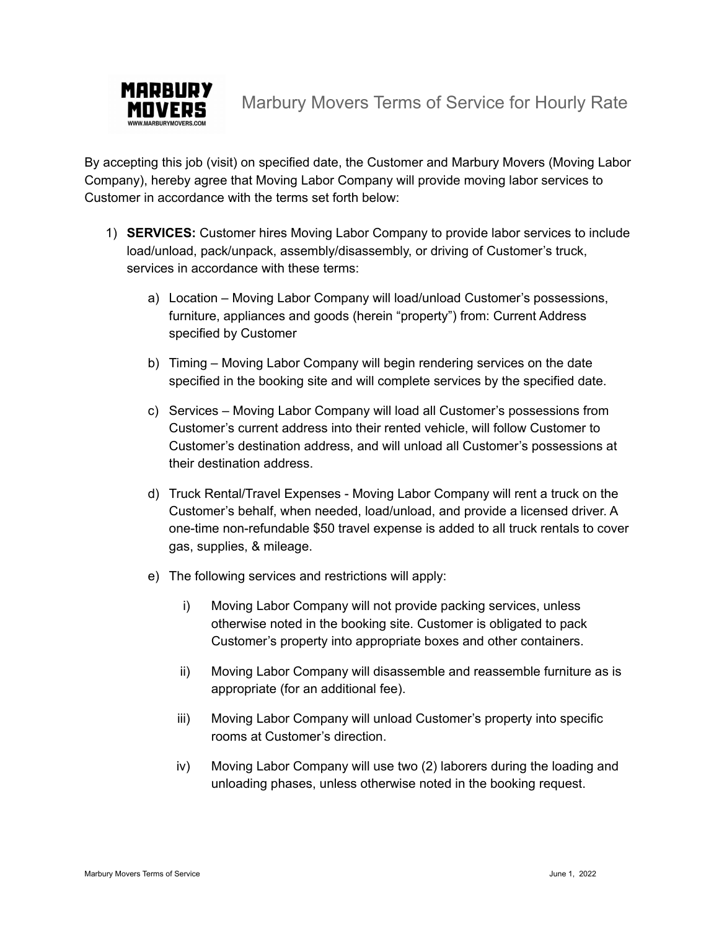

Marbury Movers Terms of Service for Hourly Rate

By accepting this job (visit) on specified date, the Customer and Marbury Movers (Moving Labor Company), hereby agree that Moving Labor Company will provide moving labor services to Customer in accordance with the terms set forth below:

- 1) **SERVICES:** Customer hires Moving Labor Company to provide labor services to include load/unload, pack/unpack, assembly/disassembly, or driving of Customer's truck, services in accordance with these terms:
	- a) Location Moving Labor Company will load/unload Customer's possessions, furniture, appliances and goods (herein "property") from: Current Address specified by Customer
	- b) Timing Moving Labor Company will begin rendering services on the date specified in the booking site and will complete services by the specified date.
	- c) Services Moving Labor Company will load all Customer's possessions from Customer's current address into their rented vehicle, will follow Customer to Customer's destination address, and will unload all Customer's possessions at their destination address.
	- d) Truck Rental/Travel Expenses Moving Labor Company will rent a truck on the Customer's behalf, when needed, load/unload, and provide a licensed driver. A one-time non-refundable \$50 travel expense is added to all truck rentals to cover gas, supplies, & mileage.
	- e) The following services and restrictions will apply:
		- i) Moving Labor Company will not provide packing services, unless otherwise noted in the booking site. Customer is obligated to pack Customer's property into appropriate boxes and other containers.
		- ii) Moving Labor Company will disassemble and reassemble furniture as is appropriate (for an additional fee).
		- iii) Moving Labor Company will unload Customer's property into specific rooms at Customer's direction.
		- iv) Moving Labor Company will use two (2) laborers during the loading and unloading phases, unless otherwise noted in the booking request.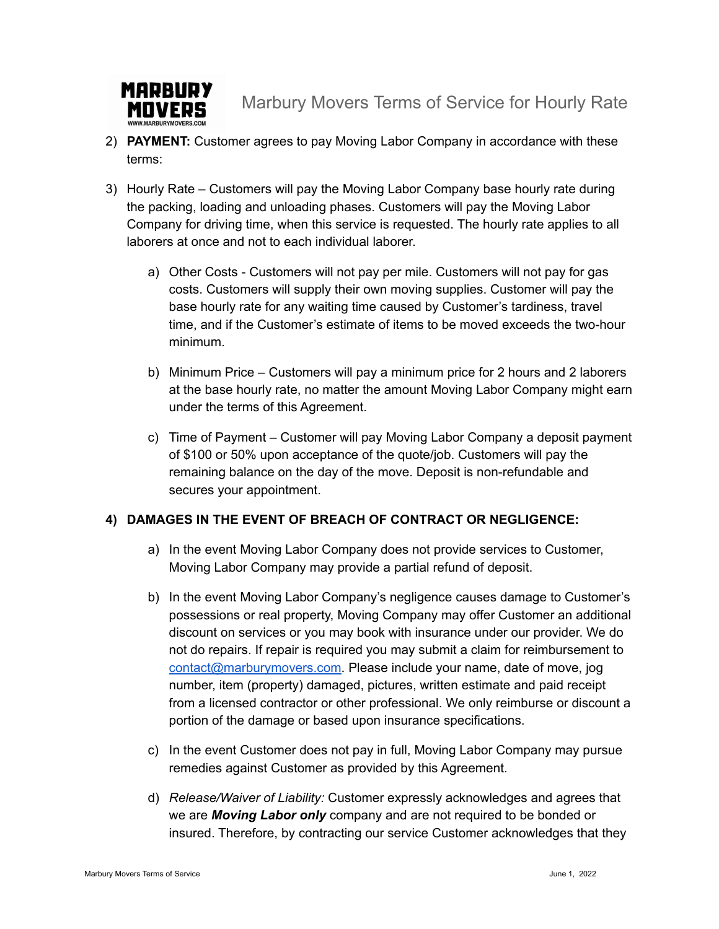

Marbury Movers Terms of Service for Hourly Rate

- 2) **PAYMENT:** Customer agrees to pay Moving Labor Company in accordance with these terms:
- 3) Hourly Rate Customers will pay the Moving Labor Company base hourly rate during the packing, loading and unloading phases. Customers will pay the Moving Labor Company for driving time, when this service is requested. The hourly rate applies to all laborers at once and not to each individual laborer.
	- a) Other Costs Customers will not pay per mile. Customers will not pay for gas costs. Customers will supply their own moving supplies. Customer will pay the base hourly rate for any waiting time caused by Customer's tardiness, travel time, and if the Customer's estimate of items to be moved exceeds the two-hour minimum.
	- b) Minimum Price Customers will pay a minimum price for 2 hours and 2 laborers at the base hourly rate, no matter the amount Moving Labor Company might earn under the terms of this Agreement.
	- c) Time of Payment Customer will pay Moving Labor Company a deposit payment of \$100 or 50% upon acceptance of the quote/job. Customers will pay the remaining balance on the day of the move. Deposit is non-refundable and secures your appointment.

## **4) DAMAGES IN THE EVENT OF BREACH OF CONTRACT OR NEGLIGENCE:**

- a) In the event Moving Labor Company does not provide services to Customer, Moving Labor Company may provide a partial refund of deposit.
- b) In the event Moving Labor Company's negligence causes damage to Customer's possessions or real property, Moving Company may offer Customer an additional discount on services or you may book with insurance under our provider. We do not do repairs. If repair is required you may submit a claim for reimbursement to [contact@marburymovers.com.](mailto:contact@marburymovers.com) Please include your name, date of move, jog number, item (property) damaged, pictures, written estimate and paid receipt from a licensed contractor or other professional. We only reimburse or discount a portion of the damage or based upon insurance specifications.
- c) In the event Customer does not pay in full, Moving Labor Company may pursue remedies against Customer as provided by this Agreement.
- d) *Release/Waiver of Liability:* Customer expressly acknowledges and agrees that we are *Moving Labor only* company and are not required to be bonded or insured. Therefore, by contracting our service Customer acknowledges that they